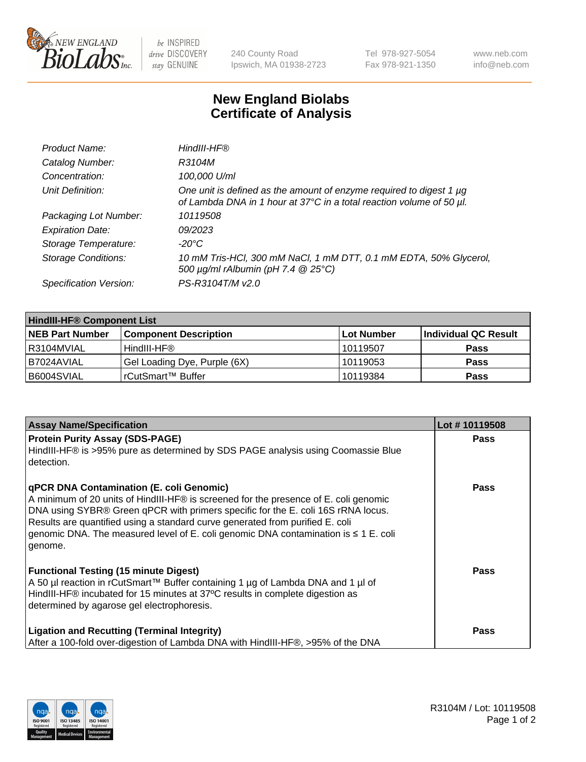

be INSPIRED drive DISCOVERY stay GENUINE

240 County Road Ipswich, MA 01938-2723 Tel 978-927-5054 Fax 978-921-1350 www.neb.com info@neb.com

## **New England Biolabs Certificate of Analysis**

| Product Name:              | HindIII-HF®                                                                                                                                      |
|----------------------------|--------------------------------------------------------------------------------------------------------------------------------------------------|
| Catalog Number:            | R3104M                                                                                                                                           |
| Concentration:             | 100,000 U/ml                                                                                                                                     |
| Unit Definition:           | One unit is defined as the amount of enzyme required to digest 1 $\mu$ g<br>of Lambda DNA in 1 hour at 37°C in a total reaction volume of 50 µl. |
| Packaging Lot Number:      | 10119508                                                                                                                                         |
| <b>Expiration Date:</b>    | 09/2023                                                                                                                                          |
| Storage Temperature:       | -20°C                                                                                                                                            |
| <b>Storage Conditions:</b> | 10 mM Tris-HCl, 300 mM NaCl, 1 mM DTT, 0.1 mM EDTA, 50% Glycerol,<br>500 μg/ml rAlbumin (pH 7.4 @ 25°C)                                          |
| Specification Version:     | PS-R3104T/M v2.0                                                                                                                                 |

| <b>HindIII-HF® Component List</b> |                              |             |                      |  |  |
|-----------------------------------|------------------------------|-------------|----------------------|--|--|
| <b>NEB Part Number</b>            | <b>Component Description</b> | ∣Lot Number | Individual QC Result |  |  |
| R3104MVIAL                        | HindIII-HF®                  | 10119507    | <b>Pass</b>          |  |  |
| B7024AVIAL                        | Gel Loading Dye, Purple (6X) | 10119053    | <b>Pass</b>          |  |  |
| B6004SVIAL                        | rCutSmart™ Buffer            | 10119384    | <b>Pass</b>          |  |  |

| <b>Assay Name/Specification</b>                                                                                                                                                                                                                                                                                                                                                                                     | Lot #10119508 |
|---------------------------------------------------------------------------------------------------------------------------------------------------------------------------------------------------------------------------------------------------------------------------------------------------------------------------------------------------------------------------------------------------------------------|---------------|
| <b>Protein Purity Assay (SDS-PAGE)</b><br>HindIII-HF® is >95% pure as determined by SDS PAGE analysis using Coomassie Blue<br>l detection.                                                                                                                                                                                                                                                                          | <b>Pass</b>   |
| <b>qPCR DNA Contamination (E. coli Genomic)</b><br>A minimum of 20 units of HindIII-HF® is screened for the presence of E. coli genomic<br>DNA using SYBR® Green qPCR with primers specific for the E. coli 16S rRNA locus.<br>Results are quantified using a standard curve generated from purified E. coli<br>genomic DNA. The measured level of E. coli genomic DNA contamination is $\leq 1$ E. coli<br>genome. | Pass          |
| <b>Functional Testing (15 minute Digest)</b><br>A 50 µl reaction in rCutSmart™ Buffer containing 1 µg of Lambda DNA and 1 µl of<br>HindIII-HF® incubated for 15 minutes at 37°C results in complete digestion as<br>determined by agarose gel electrophoresis.                                                                                                                                                      | <b>Pass</b>   |
| <b>Ligation and Recutting (Terminal Integrity)</b><br>After a 100-fold over-digestion of Lambda DNA with HindIII-HF®, >95% of the DNA                                                                                                                                                                                                                                                                               | <b>Pass</b>   |